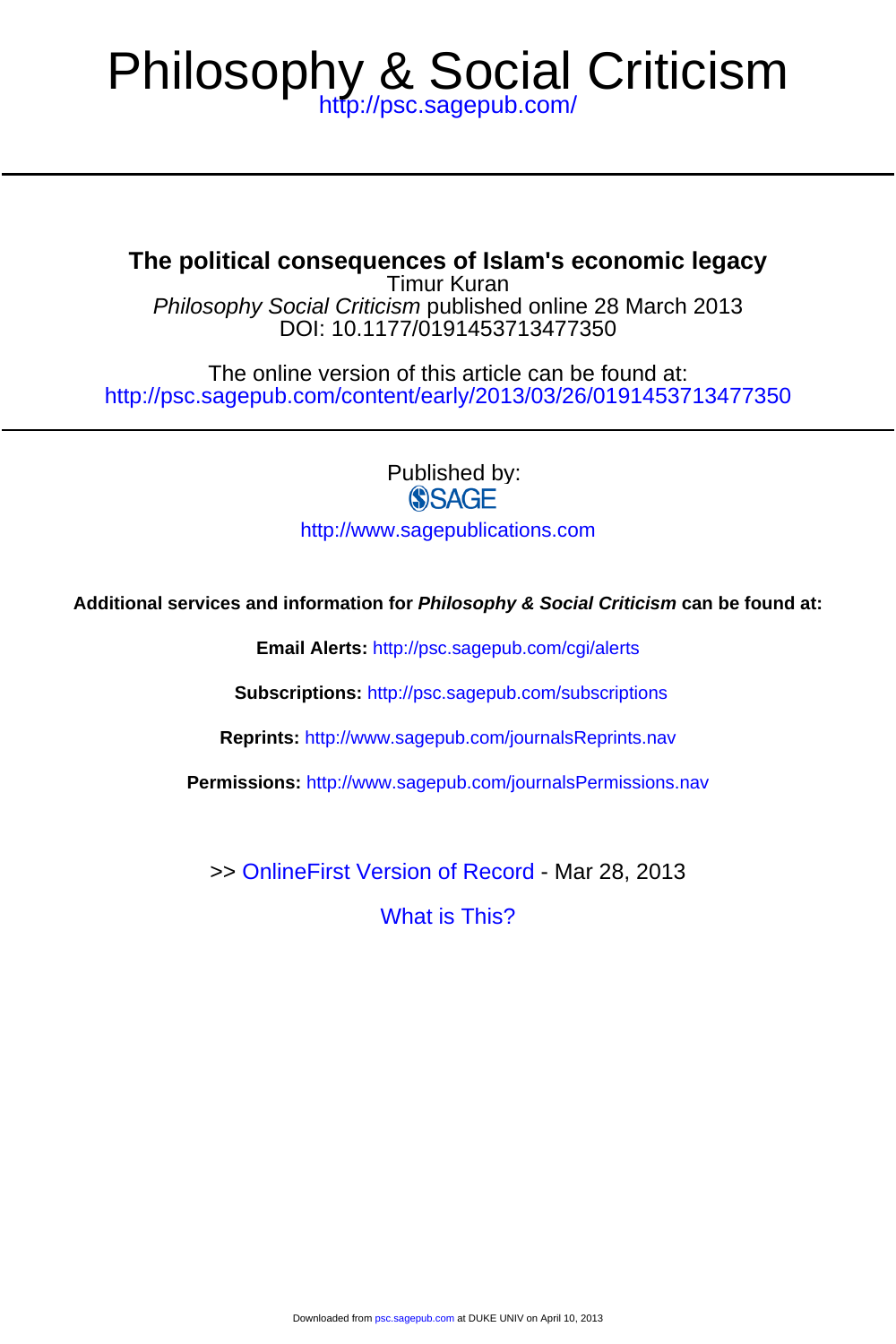# <http://psc.sagepub.com/> Philosophy & Social Criticism

**The political consequences of Islam's economic legacy**

DOI: 10.1177/0191453713477350 Philosophy Social Criticism published online 28 March 2013 Timur Kuran

<http://psc.sagepub.com/content/early/2013/03/26/0191453713477350> The online version of this article can be found at:

> Published by:<br>
> SAGE <http://www.sagepublications.com>

**Additional services and information for Philosophy & Social Criticism can be found at:**

**Email Alerts:** <http://psc.sagepub.com/cgi/alerts>

**Subscriptions:** <http://psc.sagepub.com/subscriptions>

**Reprints:** <http://www.sagepub.com/journalsReprints.nav>

**Permissions:** <http://www.sagepub.com/journalsPermissions.nav>

>> [OnlineFirst Version of Record -](http://psc.sagepub.com/content/early/2013/03/26/0191453713477350.full.pdf) Mar 28, 2013

[What is This?](http://online.sagepub.com/site/sphelp/vorhelp.xhtml)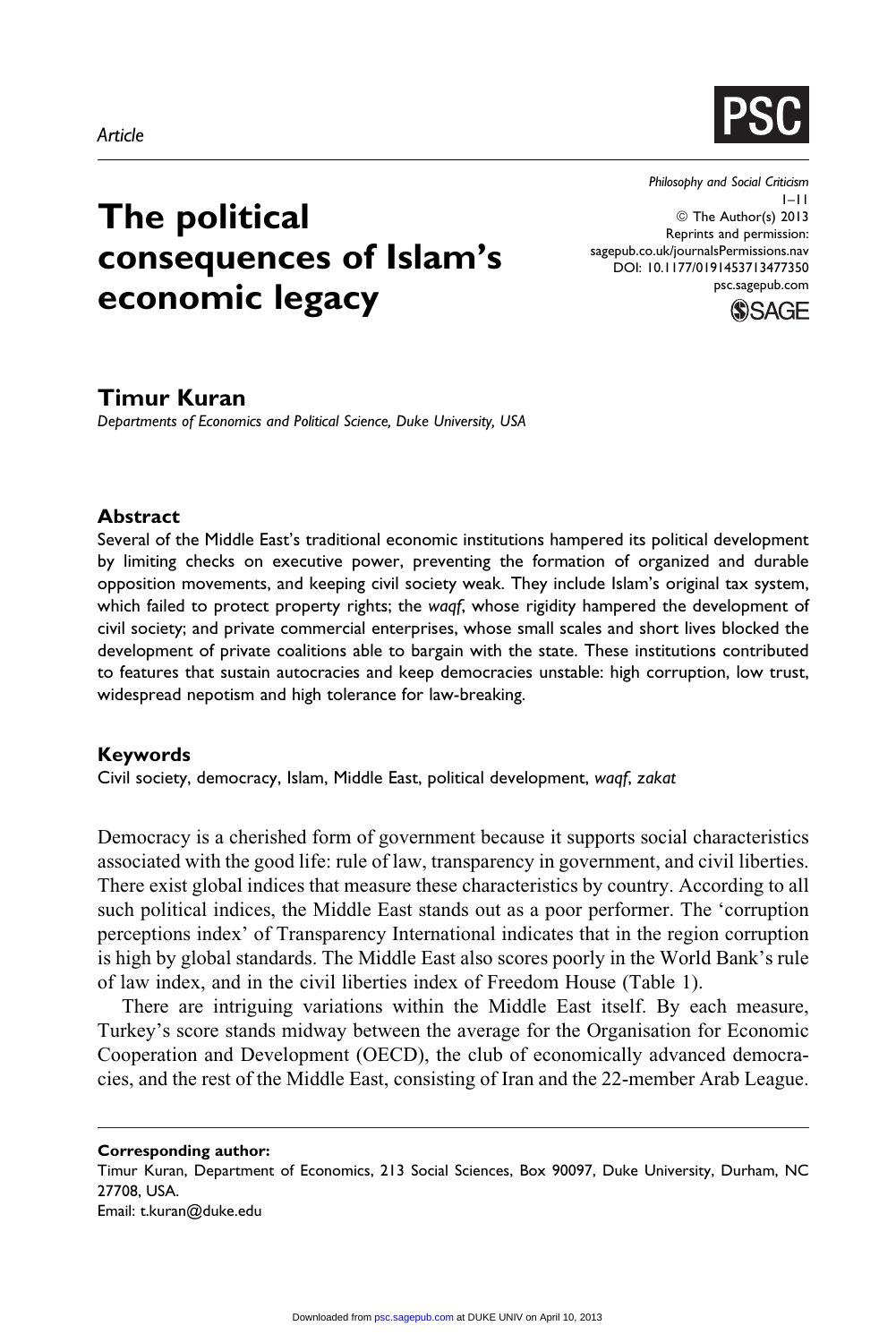

# The political consequences of Islam's economic legacy

Philosophy and Social Criticism 1–11 © The Author(s) 2013 Reprints and permission: [sagepub.co.uk/journalsPermissions.nav](http://www.sagepub.co.uk/journalsPermissions.nav) DOI: 10.1177/0191453713477350 [psc.sagepub.com](http://psc.sagepub.com)



# Timur Kuran

Departments of Economics and Political Science, Duke University, USA

#### Abstract

Several of the Middle East's traditional economic institutions hampered its political development by limiting checks on executive power, preventing the formation of organized and durable opposition movements, and keeping civil society weak. They include Islam's original tax system, which failed to protect property rights; the waqf, whose rigidity hampered the development of civil society; and private commercial enterprises, whose small scales and short lives blocked the development of private coalitions able to bargain with the state. These institutions contributed to features that sustain autocracies and keep democracies unstable: high corruption, low trust, widespread nepotism and high tolerance for law-breaking.

#### Keywords

Civil society, democracy, Islam, Middle East, political development, waqf, zakat

Democracy is a cherished form of government because it supports social characteristics associated with the good life: rule of law, transparency in government, and civil liberties. There exist global indices that measure these characteristics by country. According to all such political indices, the Middle East stands out as a poor performer. The 'corruption perceptions index' of Transparency International indicates that in the region corruption is high by global standards. The Middle East also scores poorly in the World Bank's rule of law index, and in the civil liberties index of Freedom House (Table 1).

There are intriguing variations within the Middle East itself. By each measure, Turkey's score stands midway between the average for the Organisation for Economic Cooperation and Development (OECD), the club of economically advanced democracies, and the rest of the Middle East, consisting of Iran and the 22-member Arab League.

Corresponding author:

Timur Kuran, Department of Economics, 213 Social Sciences, Box 90097, Duke University, Durham, NC 27708, USA.

Email: t.kuran@duke.edu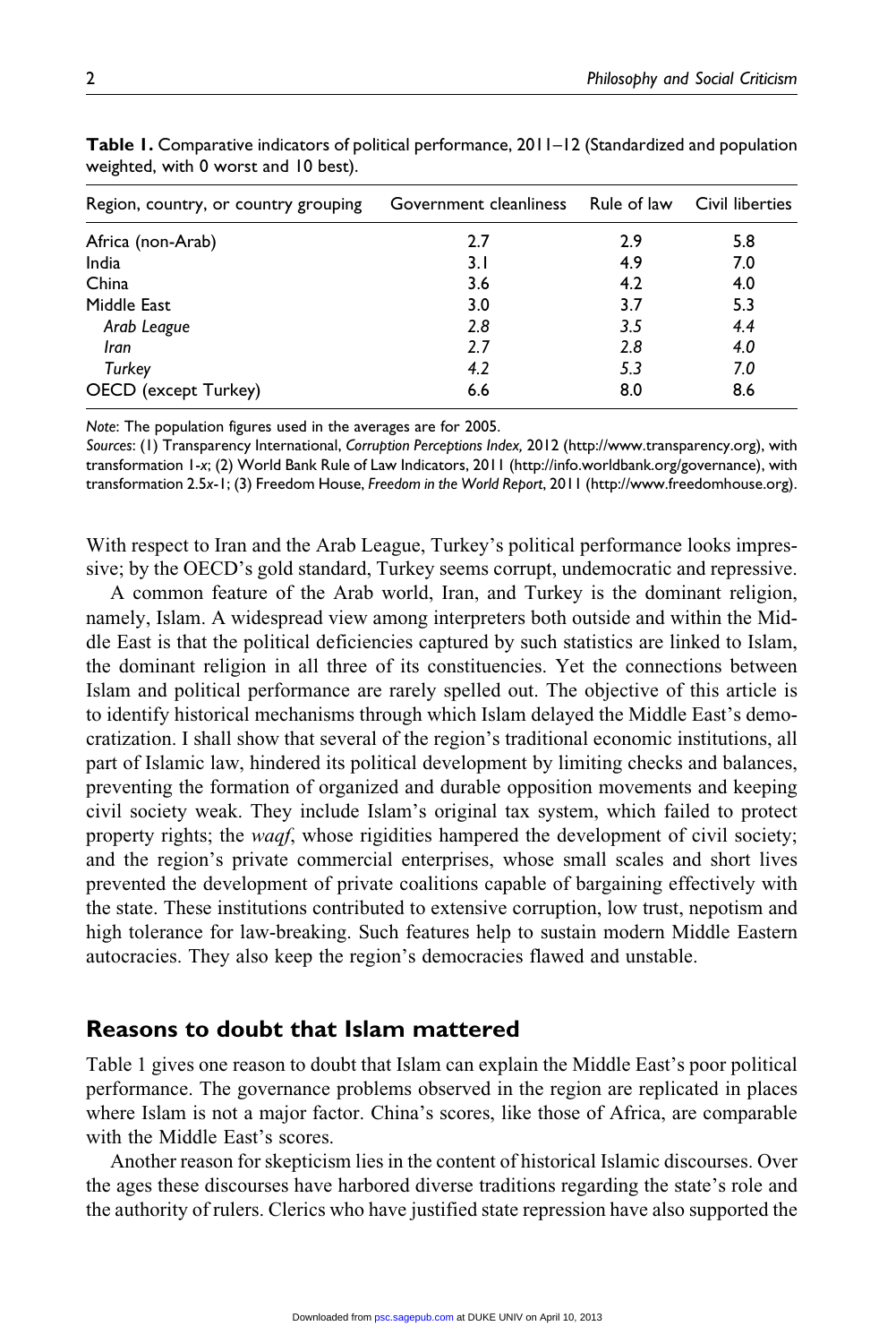| Region, country, or country grouping | Government cleanliness Rule of law |     | Civil liberties |
|--------------------------------------|------------------------------------|-----|-----------------|
| Africa (non-Arab)                    | 2.7                                | 2.9 | 5.8             |
| India                                | 3. I                               | 4.9 | 7.0             |
| China                                | 3.6                                | 4.2 | 4.0             |
| Middle East                          | 3.0                                | 3.7 | 5.3             |
| Arab League                          | 2.8                                | 3.5 | 4.4             |
| Iran                                 | 2.7                                | 2.8 | 4.0             |
| <b>Turkey</b>                        | 4.2                                | 5.3 | 7.0             |
| OECD (except Turkey)                 | 6.6                                | 8.0 | 8.6             |

Table I. Comparative indicators of political performance, 2011–12 (Standardized and population weighted, with 0 worst and 10 best).

Note: The population figures used in the averages are for 2005.

Sources: (1) Transparency International, Corruption Perceptions Index, 2012 (http://www.transparency.org), with transformation 1-x; (2) World Bank Rule of Law Indicators, 2011 (http://info.worldbank.org/governance), with transformation 2.5x-1; (3) Freedom House, Freedom in the World Report, 2011 (http://www.freedomhouse.org).

With respect to Iran and the Arab League, Turkey's political performance looks impressive; by the OECD's gold standard, Turkey seems corrupt, undemocratic and repressive.

A common feature of the Arab world, Iran, and Turkey is the dominant religion, namely, Islam. A widespread view among interpreters both outside and within the Middle East is that the political deficiencies captured by such statistics are linked to Islam, the dominant religion in all three of its constituencies. Yet the connections between Islam and political performance are rarely spelled out. The objective of this article is to identify historical mechanisms through which Islam delayed the Middle East's democratization. I shall show that several of the region's traditional economic institutions, all part of Islamic law, hindered its political development by limiting checks and balances, preventing the formation of organized and durable opposition movements and keeping civil society weak. They include Islam's original tax system, which failed to protect property rights; the *waqf*, whose rigidities hampered the development of civil society; and the region's private commercial enterprises, whose small scales and short lives prevented the development of private coalitions capable of bargaining effectively with the state. These institutions contributed to extensive corruption, low trust, nepotism and high tolerance for law-breaking. Such features help to sustain modern Middle Eastern autocracies. They also keep the region's democracies flawed and unstable.

## Reasons to doubt that Islam mattered

Table 1 gives one reason to doubt that Islam can explain the Middle East's poor political performance. The governance problems observed in the region are replicated in places where Islam is not a major factor. China's scores, like those of Africa, are comparable with the Middle East's scores.

Another reason for skepticism lies in the content of historical Islamic discourses. Over the ages these discourses have harbored diverse traditions regarding the state's role and the authority of rulers. Clerics who have justified state repression have also supported the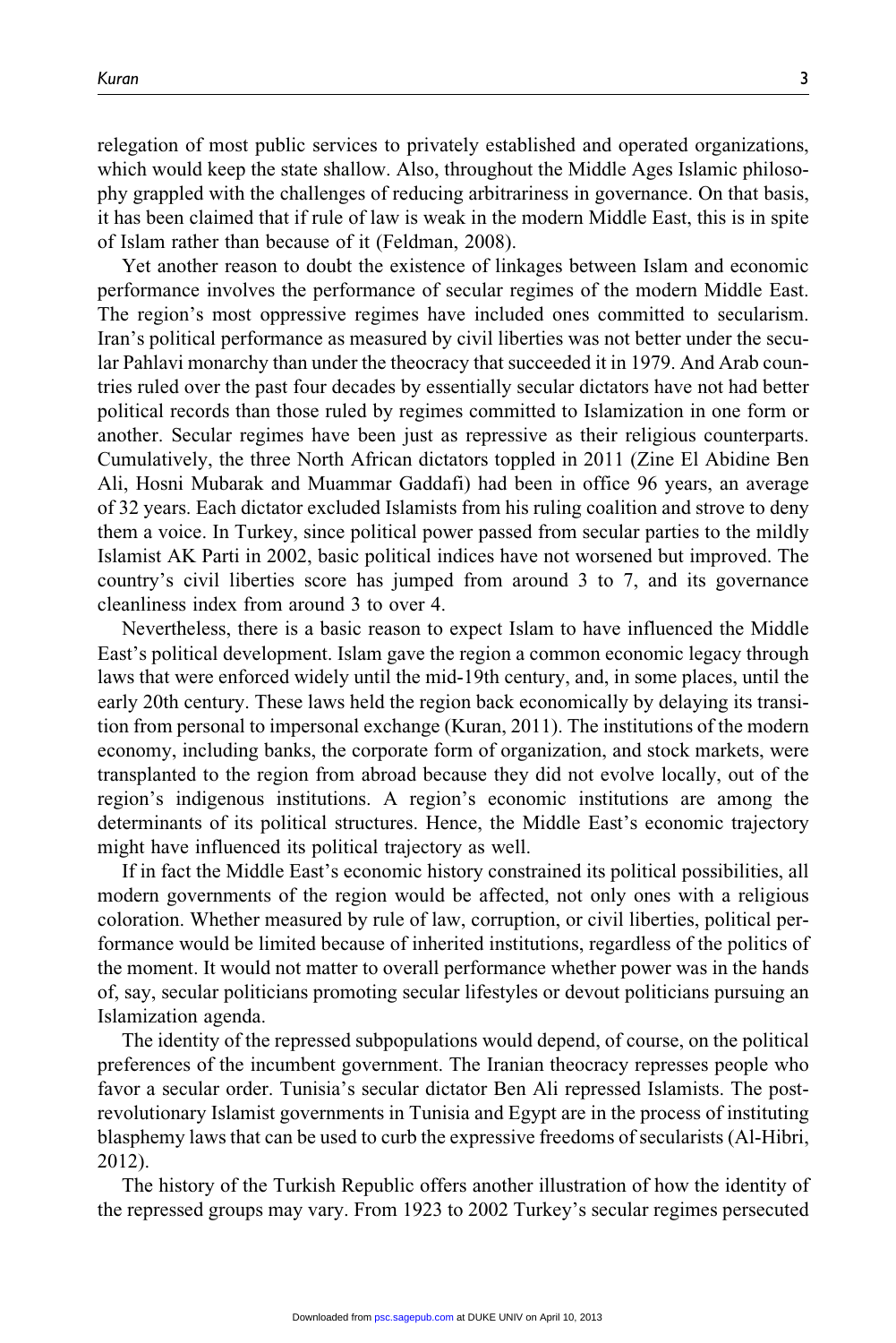relegation of most public services to privately established and operated organizations,

which would keep the state shallow. Also, throughout the Middle Ages Islamic philosophy grappled with the challenges of reducing arbitrariness in governance. On that basis, it has been claimed that if rule of law is weak in the modern Middle East, this is in spite of Islam rather than because of it (Feldman, 2008).

Yet another reason to doubt the existence of linkages between Islam and economic performance involves the performance of secular regimes of the modern Middle East. The region's most oppressive regimes have included ones committed to secularism. Iran's political performance as measured by civil liberties was not better under the secular Pahlavi monarchy than under the theocracy that succeeded it in 1979. And Arab countries ruled over the past four decades by essentially secular dictators have not had better political records than those ruled by regimes committed to Islamization in one form or another. Secular regimes have been just as repressive as their religious counterparts. Cumulatively, the three North African dictators toppled in 2011 (Zine El Abidine Ben Ali, Hosni Mubarak and Muammar Gaddafi) had been in office 96 years, an average of 32 years. Each dictator excluded Islamists from his ruling coalition and strove to deny them a voice. In Turkey, since political power passed from secular parties to the mildly Islamist AK Parti in 2002, basic political indices have not worsened but improved. The country's civil liberties score has jumped from around 3 to 7, and its governance cleanliness index from around 3 to over 4.

Nevertheless, there is a basic reason to expect Islam to have influenced the Middle East's political development. Islam gave the region a common economic legacy through laws that were enforced widely until the mid-19th century, and, in some places, until the early 20th century. These laws held the region back economically by delaying its transition from personal to impersonal exchange (Kuran, 2011). The institutions of the modern economy, including banks, the corporate form of organization, and stock markets, were transplanted to the region from abroad because they did not evolve locally, out of the region's indigenous institutions. A region's economic institutions are among the determinants of its political structures. Hence, the Middle East's economic trajectory might have influenced its political trajectory as well.

If in fact the Middle East's economic history constrained its political possibilities, all modern governments of the region would be affected, not only ones with a religious coloration. Whether measured by rule of law, corruption, or civil liberties, political performance would be limited because of inherited institutions, regardless of the politics of the moment. It would not matter to overall performance whether power was in the hands of, say, secular politicians promoting secular lifestyles or devout politicians pursuing an Islamization agenda.

The identity of the repressed subpopulations would depend, of course, on the political preferences of the incumbent government. The Iranian theocracy represses people who favor a secular order. Tunisia's secular dictator Ben Ali repressed Islamists. The postrevolutionary Islamist governments in Tunisia and Egypt are in the process of instituting blasphemy laws that can be used to curb the expressive freedoms of secularists (Al-Hibri, 2012).

The history of the Turkish Republic offers another illustration of how the identity of the repressed groups may vary. From 1923 to 2002 Turkey's secular regimes persecuted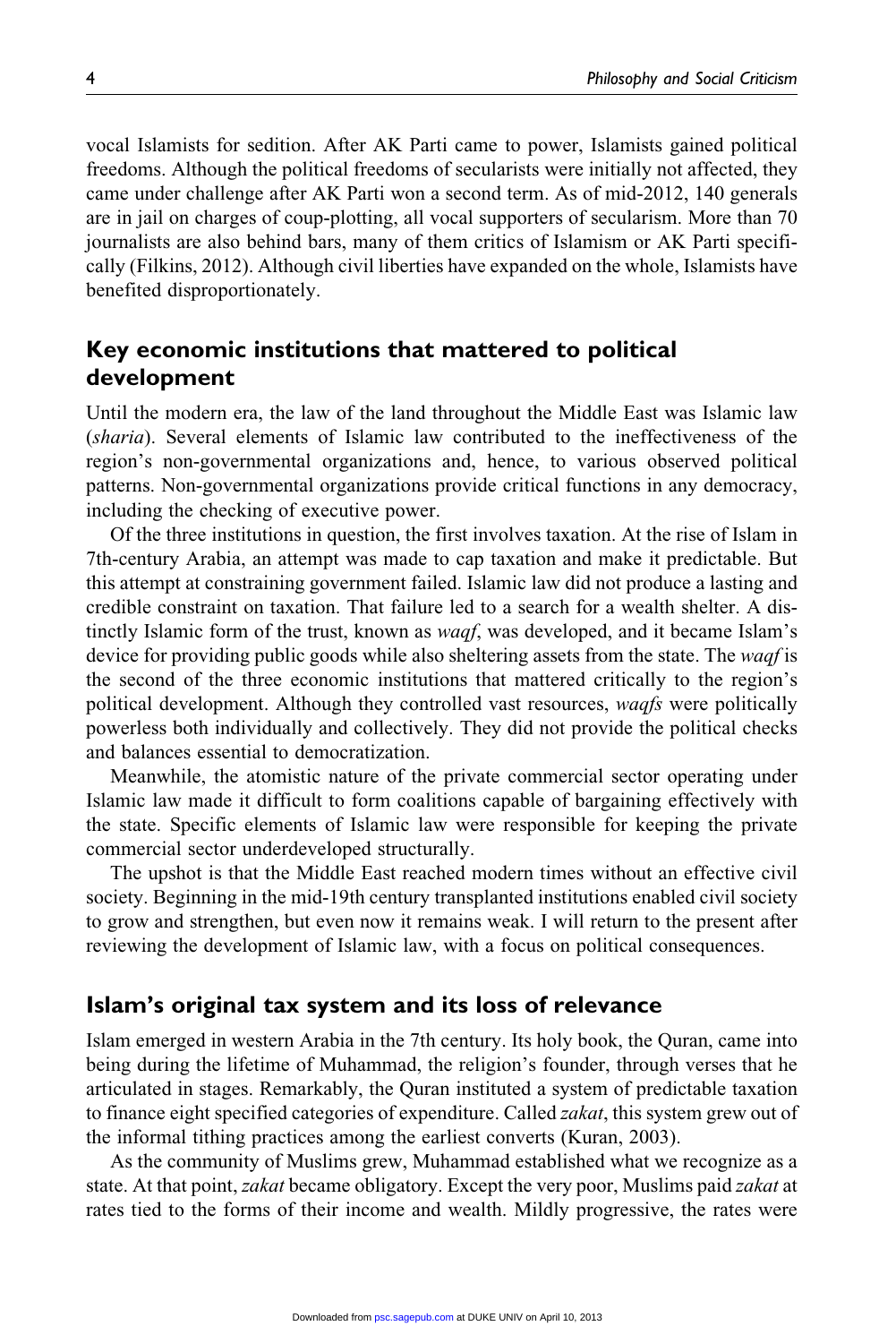vocal Islamists for sedition. After AK Parti came to power, Islamists gained political freedoms. Although the political freedoms of secularists were initially not affected, they came under challenge after AK Parti won a second term. As of mid-2012, 140 generals are in jail on charges of coup-plotting, all vocal supporters of secularism. More than 70 journalists are also behind bars, many of them critics of Islamism or AK Parti specifically (Filkins, 2012). Although civil liberties have expanded on the whole, Islamists have benefited disproportionately.

# Key economic institutions that mattered to political development

Until the modern era, the law of the land throughout the Middle East was Islamic law (sharia). Several elements of Islamic law contributed to the ineffectiveness of the region's non-governmental organizations and, hence, to various observed political patterns. Non-governmental organizations provide critical functions in any democracy, including the checking of executive power.

Of the three institutions in question, the first involves taxation. At the rise of Islam in 7th-century Arabia, an attempt was made to cap taxation and make it predictable. But this attempt at constraining government failed. Islamic law did not produce a lasting and credible constraint on taxation. That failure led to a search for a wealth shelter. A distinctly Islamic form of the trust, known as *waqf*, was developed, and it became Islam's device for providing public goods while also sheltering assets from the state. The *waqf* is the second of the three economic institutions that mattered critically to the region's political development. Although they controlled vast resources, *waqfs* were politically powerless both individually and collectively. They did not provide the political checks and balances essential to democratization.

Meanwhile, the atomistic nature of the private commercial sector operating under Islamic law made it difficult to form coalitions capable of bargaining effectively with the state. Specific elements of Islamic law were responsible for keeping the private commercial sector underdeveloped structurally.

The upshot is that the Middle East reached modern times without an effective civil society. Beginning in the mid-19th century transplanted institutions enabled civil society to grow and strengthen, but even now it remains weak. I will return to the present after reviewing the development of Islamic law, with a focus on political consequences.

# Islam's original tax system and its loss of relevance

Islam emerged in western Arabia in the 7th century. Its holy book, the Quran, came into being during the lifetime of Muhammad, the religion's founder, through verses that he articulated in stages. Remarkably, the Quran instituted a system of predictable taxation to finance eight specified categories of expenditure. Called *zakat*, this system grew out of the informal tithing practices among the earliest converts (Kuran, 2003).

As the community of Muslims grew, Muhammad established what we recognize as a state. At that point, *zakat* became obligatory. Except the very poor, Muslims paid *zakat* at rates tied to the forms of their income and wealth. Mildly progressive, the rates were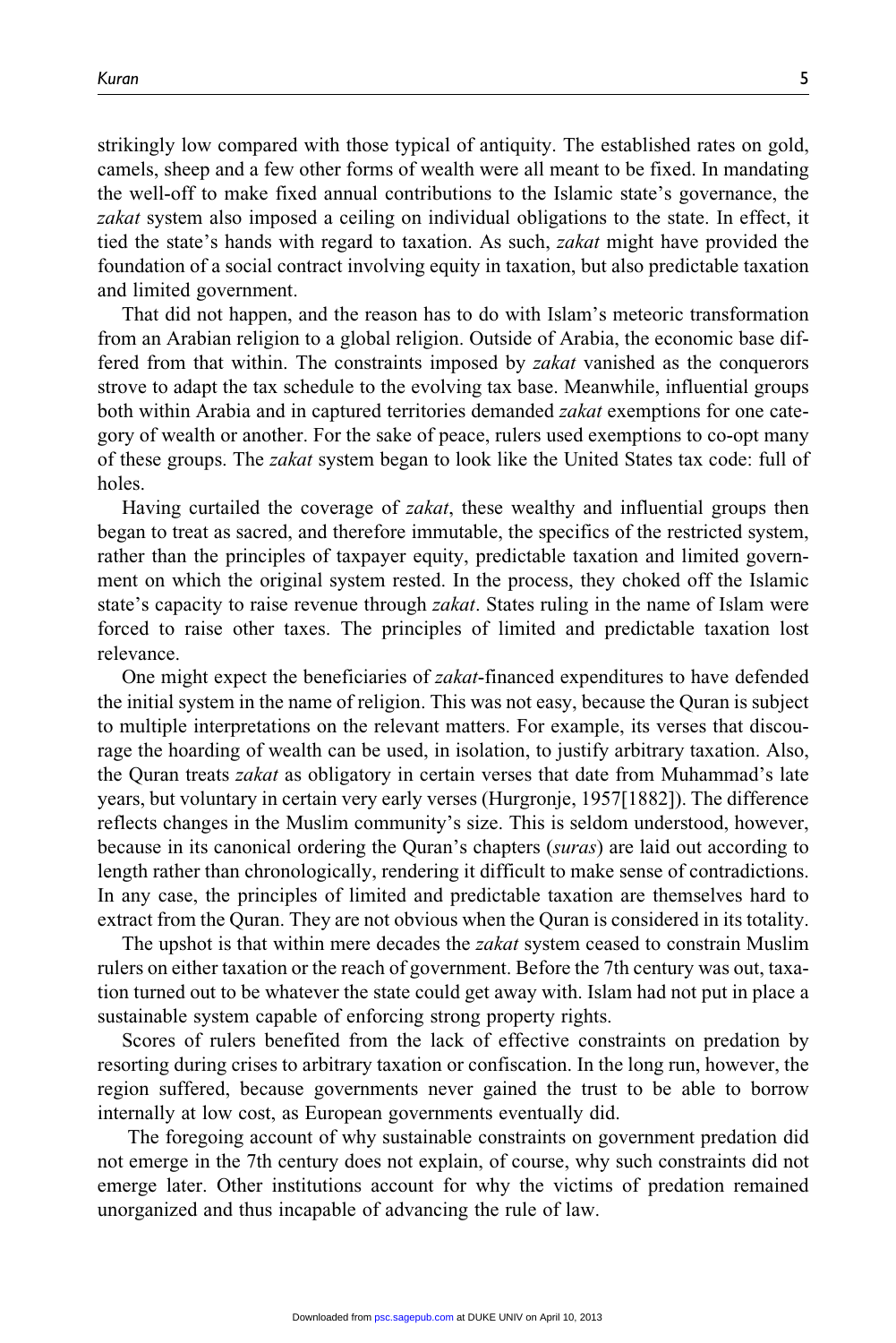strikingly low compared with those typical of antiquity. The established rates on gold, camels, sheep and a few other forms of wealth were all meant to be fixed. In mandating the well-off to make fixed annual contributions to the Islamic state's governance, the zakat system also imposed a ceiling on individual obligations to the state. In effect, it tied the state's hands with regard to taxation. As such, zakat might have provided the foundation of a social contract involving equity in taxation, but also predictable taxation and limited government.

That did not happen, and the reason has to do with Islam's meteoric transformation from an Arabian religion to a global religion. Outside of Arabia, the economic base differed from that within. The constraints imposed by zakat vanished as the conquerors strove to adapt the tax schedule to the evolving tax base. Meanwhile, influential groups both within Arabia and in captured territories demanded *zakat* exemptions for one category of wealth or another. For the sake of peace, rulers used exemptions to co-opt many of these groups. The zakat system began to look like the United States tax code: full of holes.

Having curtailed the coverage of *zakat*, these wealthy and influential groups then began to treat as sacred, and therefore immutable, the specifics of the restricted system, rather than the principles of taxpayer equity, predictable taxation and limited government on which the original system rested. In the process, they choked off the Islamic state's capacity to raise revenue through *zakat*. States ruling in the name of Islam were forced to raise other taxes. The principles of limited and predictable taxation lost relevance.

One might expect the beneficiaries of zakat-financed expenditures to have defended the initial system in the name of religion. This was not easy, because the Quran is subject to multiple interpretations on the relevant matters. For example, its verses that discourage the hoarding of wealth can be used, in isolation, to justify arbitrary taxation. Also, the Quran treats zakat as obligatory in certain verses that date from Muhammad's late years, but voluntary in certain very early verses (Hurgronje, 1957[1882]). The difference reflects changes in the Muslim community's size. This is seldom understood, however, because in its canonical ordering the Quran's chapters (suras) are laid out according to length rather than chronologically, rendering it difficult to make sense of contradictions. In any case, the principles of limited and predictable taxation are themselves hard to extract from the Quran. They are not obvious when the Quran is considered in its totality.

The upshot is that within mere decades the *zakat* system ceased to constrain Muslim rulers on either taxation or the reach of government. Before the 7th century was out, taxation turned out to be whatever the state could get away with. Islam had not put in place a sustainable system capable of enforcing strong property rights.

Scores of rulers benefited from the lack of effective constraints on predation by resorting during crises to arbitrary taxation or confiscation. In the long run, however, the region suffered, because governments never gained the trust to be able to borrow internally at low cost, as European governments eventually did.

The foregoing account of why sustainable constraints on government predation did not emerge in the 7th century does not explain, of course, why such constraints did not emerge later. Other institutions account for why the victims of predation remained unorganized and thus incapable of advancing the rule of law.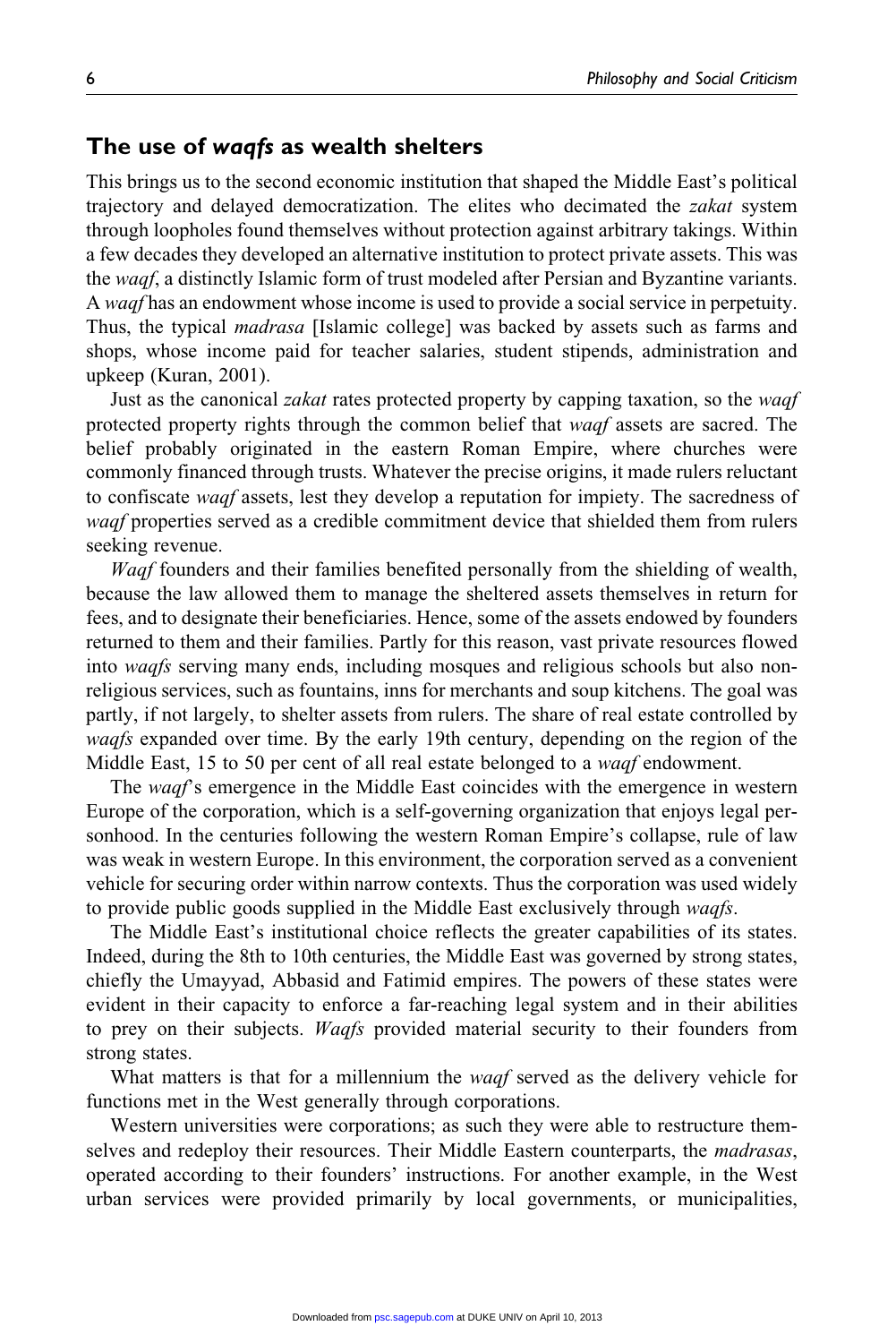#### The use of waqfs as wealth shelters

This brings us to the second economic institution that shaped the Middle East's political trajectory and delayed democratization. The elites who decimated the zakat system through loopholes found themselves without protection against arbitrary takings. Within a few decades they developed an alternative institution to protect private assets. This was the *waqf*, a distinctly Islamic form of trust modeled after Persian and Byzantine variants. A *waqf* has an endowment whose income is used to provide a social service in perpetuity. Thus, the typical *madrasa* [Islamic college] was backed by assets such as farms and shops, whose income paid for teacher salaries, student stipends, administration and upkeep (Kuran, 2001).

Just as the canonical *zakat* rates protected property by capping taxation, so the *waqf* protected property rights through the common belief that waqf assets are sacred. The belief probably originated in the eastern Roman Empire, where churches were commonly financed through trusts. Whatever the precise origins, it made rulers reluctant to confiscate *waqf* assets, lest they develop a reputation for impiety. The sacredness of *waqf* properties served as a credible commitment device that shielded them from rulers seeking revenue.

Waqf founders and their families benefited personally from the shielding of wealth, because the law allowed them to manage the sheltered assets themselves in return for fees, and to designate their beneficiaries. Hence, some of the assets endowed by founders returned to them and their families. Partly for this reason, vast private resources flowed into *waqfs* serving many ends, including mosques and religious schools but also nonreligious services, such as fountains, inns for merchants and soup kitchens. The goal was partly, if not largely, to shelter assets from rulers. The share of real estate controlled by waqfs expanded over time. By the early 19th century, depending on the region of the Middle East, 15 to 50 per cent of all real estate belonged to a *waaf* endowment.

The waqf's emergence in the Middle East coincides with the emergence in western Europe of the corporation, which is a self-governing organization that enjoys legal personhood. In the centuries following the western Roman Empire's collapse, rule of law was weak in western Europe. In this environment, the corporation served as a convenient vehicle for securing order within narrow contexts. Thus the corporation was used widely to provide public goods supplied in the Middle East exclusively through waqfs.

The Middle East's institutional choice reflects the greater capabilities of its states. Indeed, during the 8th to 10th centuries, the Middle East was governed by strong states, chiefly the Umayyad, Abbasid and Fatimid empires. The powers of these states were evident in their capacity to enforce a far-reaching legal system and in their abilities to prey on their subjects. *Waqfs* provided material security to their founders from strong states.

What matters is that for a millennium the *waqf* served as the delivery vehicle for functions met in the West generally through corporations.

Western universities were corporations; as such they were able to restructure themselves and redeploy their resources. Their Middle Eastern counterparts, the *madrasas*, operated according to their founders' instructions. For another example, in the West urban services were provided primarily by local governments, or municipalities,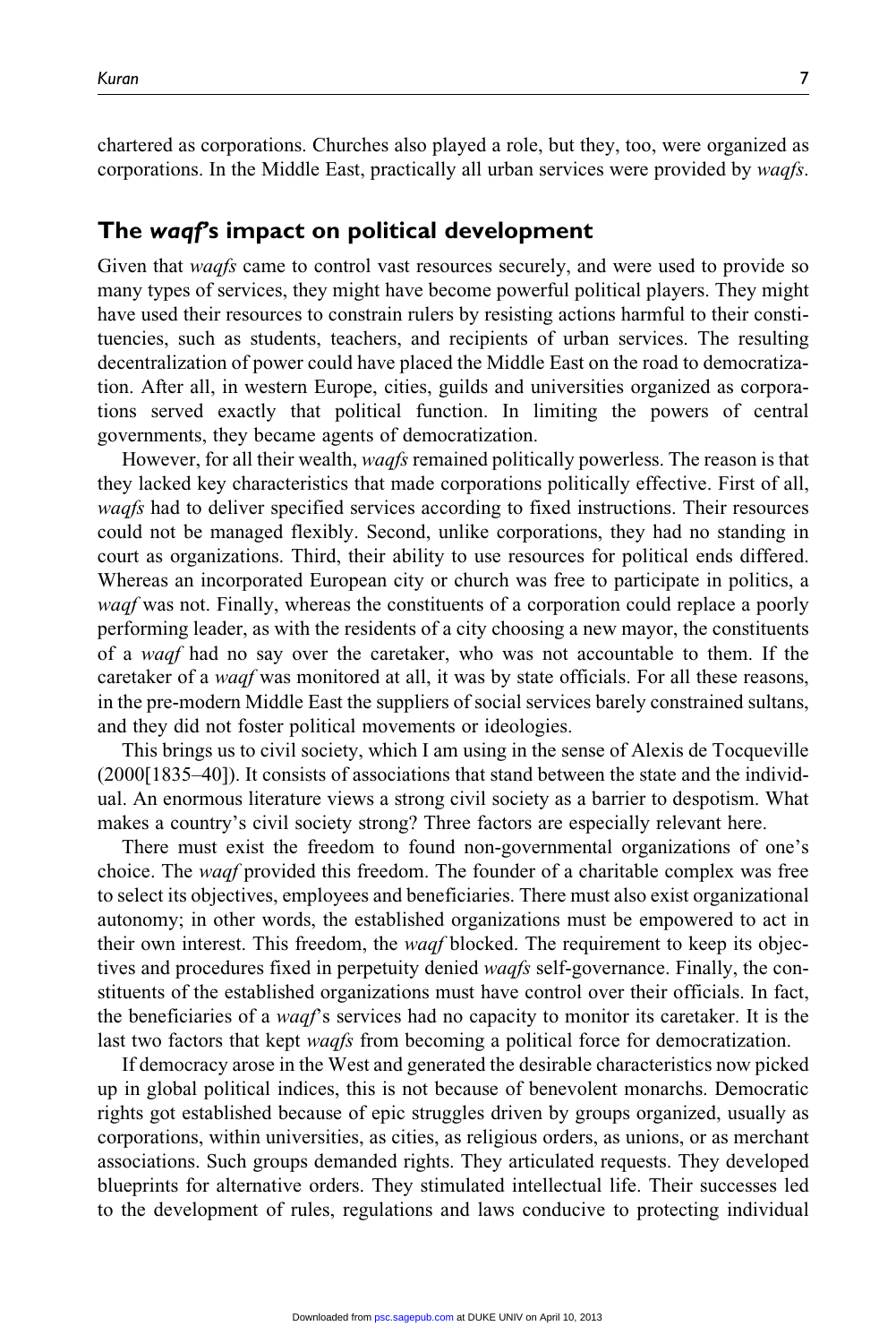chartered as corporations. Churches also played a role, but they, too, were organized as corporations. In the Middle East, practically all urban services were provided by waqfs.

# The waqf's impact on political development

Given that *waqfs* came to control vast resources securely, and were used to provide so many types of services, they might have become powerful political players. They might have used their resources to constrain rulers by resisting actions harmful to their constituencies, such as students, teachers, and recipients of urban services. The resulting decentralization of power could have placed the Middle East on the road to democratization. After all, in western Europe, cities, guilds and universities organized as corporations served exactly that political function. In limiting the powers of central governments, they became agents of democratization.

However, for all their wealth, *waqfs* remained politically powerless. The reason is that they lacked key characteristics that made corporations politically effective. First of all, waafs had to deliver specified services according to fixed instructions. Their resources could not be managed flexibly. Second, unlike corporations, they had no standing in court as organizations. Third, their ability to use resources for political ends differed. Whereas an incorporated European city or church was free to participate in politics, a waq was not. Finally, whereas the constituents of a corporation could replace a poorly performing leader, as with the residents of a city choosing a new mayor, the constituents of a waqf had no say over the caretaker, who was not accountable to them. If the caretaker of a waqf was monitored at all, it was by state officials. For all these reasons, in the pre-modern Middle East the suppliers of social services barely constrained sultans, and they did not foster political movements or ideologies.

This brings us to civil society, which I am using in the sense of Alexis de Tocqueville (2000[1835–40]). It consists of associations that stand between the state and the individual. An enormous literature views a strong civil society as a barrier to despotism. What makes a country's civil society strong? Three factors are especially relevant here.

There must exist the freedom to found non-governmental organizations of one's choice. The waqf provided this freedom. The founder of a charitable complex was free to select its objectives, employees and beneficiaries. There must also exist organizational autonomy; in other words, the established organizations must be empowered to act in their own interest. This freedom, the *waqf* blocked. The requirement to keep its objectives and procedures fixed in perpetuity denied *waqfs* self-governance. Finally, the constituents of the established organizations must have control over their officials. In fact, the beneficiaries of a waqf's services had no capacity to monitor its caretaker. It is the last two factors that kept *waqfs* from becoming a political force for democratization.

If democracy arose in the West and generated the desirable characteristics now picked up in global political indices, this is not because of benevolent monarchs. Democratic rights got established because of epic struggles driven by groups organized, usually as corporations, within universities, as cities, as religious orders, as unions, or as merchant associations. Such groups demanded rights. They articulated requests. They developed blueprints for alternative orders. They stimulated intellectual life. Their successes led to the development of rules, regulations and laws conducive to protecting individual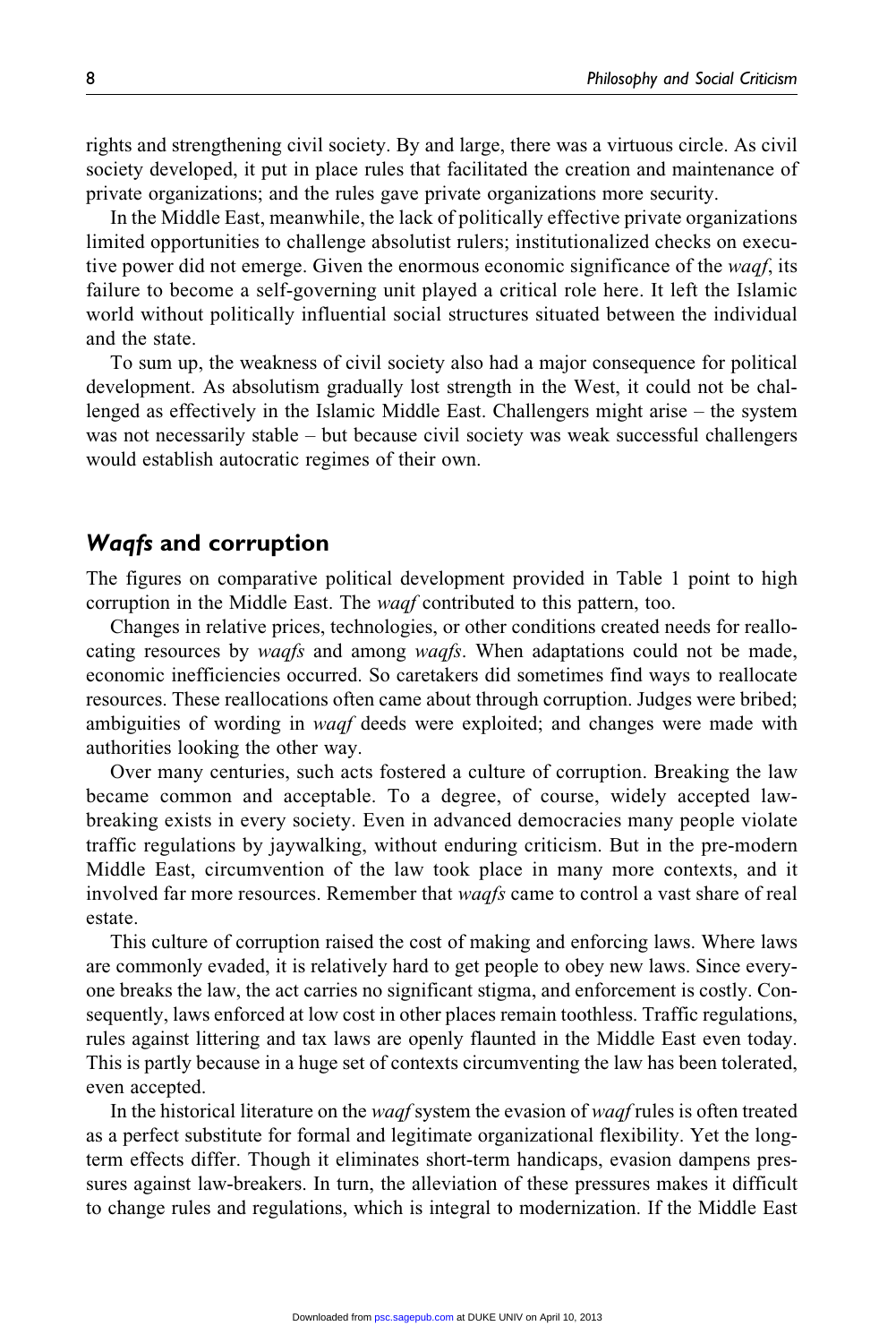rights and strengthening civil society. By and large, there was a virtuous circle. As civil society developed, it put in place rules that facilitated the creation and maintenance of private organizations; and the rules gave private organizations more security.

In the Middle East, meanwhile, the lack of politically effective private organizations limited opportunities to challenge absolutist rulers; institutionalized checks on executive power did not emerge. Given the enormous economic significance of the *waqf*, its failure to become a self-governing unit played a critical role here. It left the Islamic world without politically influential social structures situated between the individual and the state.

To sum up, the weakness of civil society also had a major consequence for political development. As absolutism gradually lost strength in the West, it could not be challenged as effectively in the Islamic Middle East. Challengers might arise – the system was not necessarily stable – but because civil society was weak successful challengers would establish autocratic regimes of their own.

#### Waqfs and corruption

The figures on comparative political development provided in Table 1 point to high corruption in the Middle East. The *waqf* contributed to this pattern, too.

Changes in relative prices, technologies, or other conditions created needs for reallocating resources by *waqfs* and among *waqfs*. When adaptations could not be made, economic inefficiencies occurred. So caretakers did sometimes find ways to reallocate resources. These reallocations often came about through corruption. Judges were bribed; ambiguities of wording in *waqf* deeds were exploited; and changes were made with authorities looking the other way.

Over many centuries, such acts fostered a culture of corruption. Breaking the law became common and acceptable. To a degree, of course, widely accepted lawbreaking exists in every society. Even in advanced democracies many people violate traffic regulations by jaywalking, without enduring criticism. But in the pre-modern Middle East, circumvention of the law took place in many more contexts, and it involved far more resources. Remember that  $wagg$  came to control a vast share of real estate.

This culture of corruption raised the cost of making and enforcing laws. Where laws are commonly evaded, it is relatively hard to get people to obey new laws. Since everyone breaks the law, the act carries no significant stigma, and enforcement is costly. Consequently, laws enforced at low cost in other places remain toothless. Traffic regulations, rules against littering and tax laws are openly flaunted in the Middle East even today. This is partly because in a huge set of contexts circumventing the law has been tolerated, even accepted.

In the historical literature on the *waqf* system the evasion of *waqf* rules is often treated as a perfect substitute for formal and legitimate organizational flexibility. Yet the longterm effects differ. Though it eliminates short-term handicaps, evasion dampens pressures against law-breakers. In turn, the alleviation of these pressures makes it difficult to change rules and regulations, which is integral to modernization. If the Middle East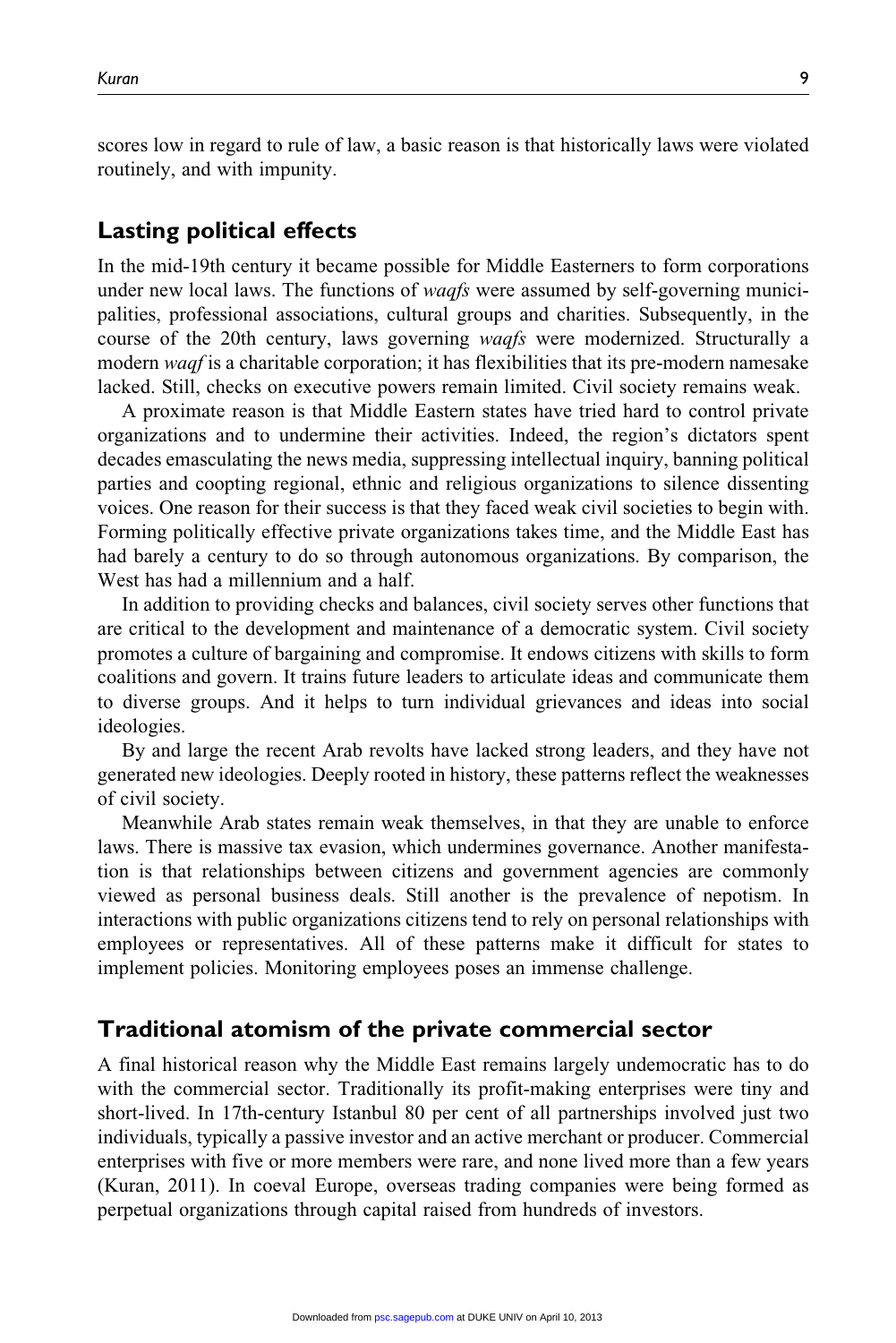scores low in regard to rule of law, a basic reason is that historically laws were violated routinely, and with impunity.

# Lasting political effects

In the mid-19th century it became possible for Middle Easterners to form corporations under new local laws. The functions of *waqfs* were assumed by self-governing municipalities, professional associations, cultural groups and charities. Subsequently, in the course of the 20th century, laws governing waqfs were modernized. Structurally a modern waaf is a charitable corporation; it has flexibilities that its pre-modern namesake lacked. Still, checks on executive powers remain limited. Civil society remains weak.

A proximate reason is that Middle Eastern states have tried hard to control private organizations and to undermine their activities. Indeed, the region's dictators spent decades emasculating the news media, suppressing intellectual inquiry, banning political parties and coopting regional, ethnic and religious organizations to silence dissenting voices. One reason for their success is that they faced weak civil societies to begin with. Forming politically effective private organizations takes time, and the Middle East has had barely a century to do so through autonomous organizations. By comparison, the West has had a millennium and a half.

In addition to providing checks and balances, civil society serves other functions that are critical to the development and maintenance of a democratic system. Civil society promotes a culture of bargaining and compromise. It endows citizens with skills to form coalitions and govern. It trains future leaders to articulate ideas and communicate them to diverse groups. And it helps to turn individual grievances and ideas into social ideologies.

By and large the recent Arab revolts have lacked strong leaders, and they have not generated new ideologies. Deeply rooted in history, these patterns reflect the weaknesses of civil society.

Meanwhile Arab states remain weak themselves, in that they are unable to enforce laws. There is massive tax evasion, which undermines governance. Another manifestation is that relationships between citizens and government agencies are commonly viewed as personal business deals. Still another is the prevalence of nepotism. In interactions with public organizations citizens tend to rely on personal relationships with employees or representatives. All of these patterns make it difficult for states to implement policies. Monitoring employees poses an immense challenge.

## Traditional atomism of the private commercial sector

A final historical reason why the Middle East remains largely undemocratic has to do with the commercial sector. Traditionally its profit-making enterprises were tiny and short-lived. In 17th-century Istanbul 80 per cent of all partnerships involved just two individuals, typically a passive investor and an active merchant or producer. Commercial enterprises with five or more members were rare, and none lived more than a few years (Kuran, 2011). In coeval Europe, overseas trading companies were being formed as perpetual organizations through capital raised from hundreds of investors.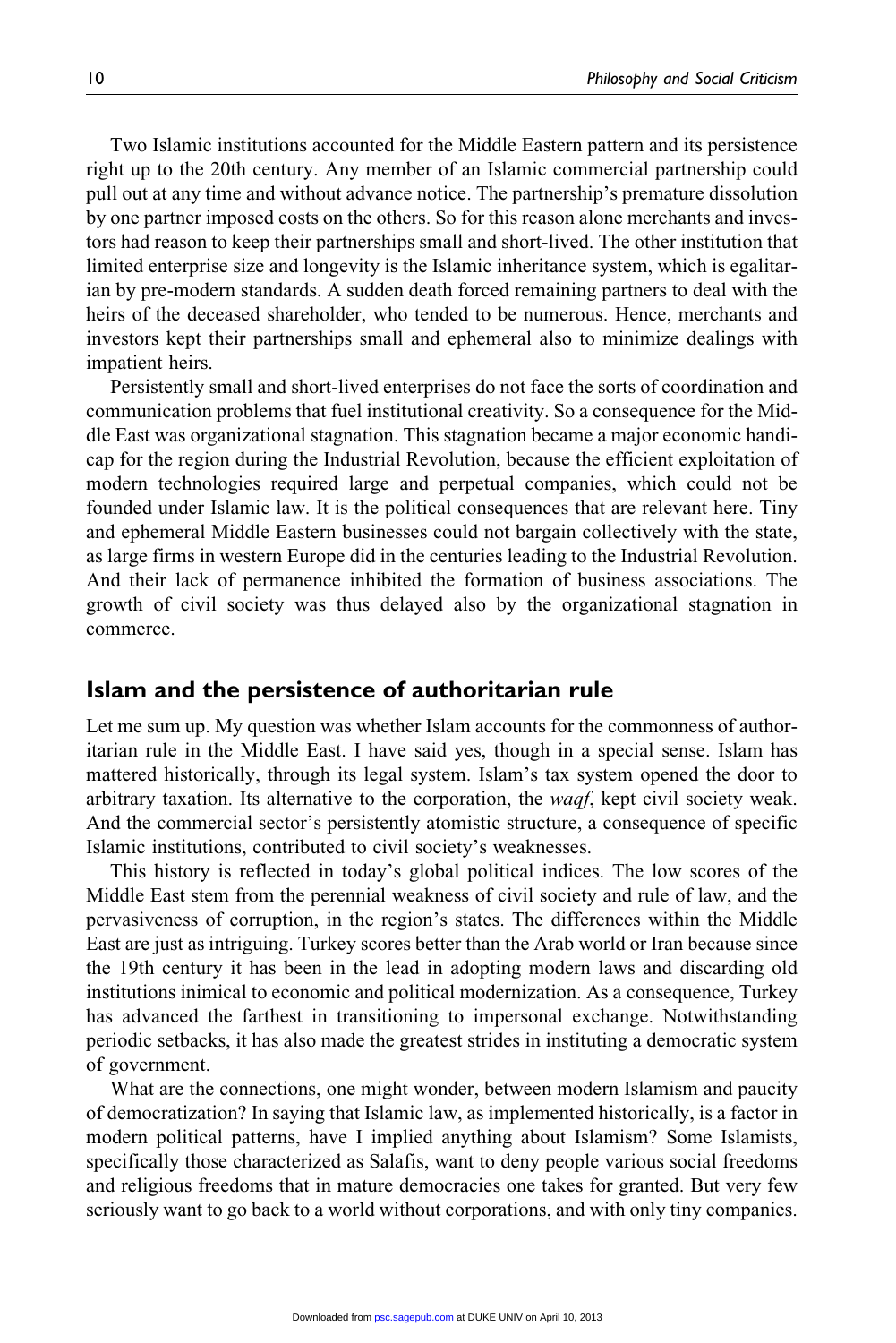Two Islamic institutions accounted for the Middle Eastern pattern and its persistence right up to the 20th century. Any member of an Islamic commercial partnership could pull out at any time and without advance notice. The partnership's premature dissolution by one partner imposed costs on the others. So for this reason alone merchants and investors had reason to keep their partnerships small and short-lived. The other institution that limited enterprise size and longevity is the Islamic inheritance system, which is egalitarian by pre-modern standards. A sudden death forced remaining partners to deal with the heirs of the deceased shareholder, who tended to be numerous. Hence, merchants and investors kept their partnerships small and ephemeral also to minimize dealings with impatient heirs.

Persistently small and short-lived enterprises do not face the sorts of coordination and communication problems that fuel institutional creativity. So a consequence for the Middle East was organizational stagnation. This stagnation became a major economic handicap for the region during the Industrial Revolution, because the efficient exploitation of modern technologies required large and perpetual companies, which could not be founded under Islamic law. It is the political consequences that are relevant here. Tiny and ephemeral Middle Eastern businesses could not bargain collectively with the state, as large firms in western Europe did in the centuries leading to the Industrial Revolution. And their lack of permanence inhibited the formation of business associations. The growth of civil society was thus delayed also by the organizational stagnation in commerce.

## Islam and the persistence of authoritarian rule

Let me sum up. My question was whether Islam accounts for the commonness of authoritarian rule in the Middle East. I have said yes, though in a special sense. Islam has mattered historically, through its legal system. Islam's tax system opened the door to arbitrary taxation. Its alternative to the corporation, the *waqf*, kept civil society weak. And the commercial sector's persistently atomistic structure, a consequence of specific Islamic institutions, contributed to civil society's weaknesses.

This history is reflected in today's global political indices. The low scores of the Middle East stem from the perennial weakness of civil society and rule of law, and the pervasiveness of corruption, in the region's states. The differences within the Middle East are just as intriguing. Turkey scores better than the Arab world or Iran because since the 19th century it has been in the lead in adopting modern laws and discarding old institutions inimical to economic and political modernization. As a consequence, Turkey has advanced the farthest in transitioning to impersonal exchange. Notwithstanding periodic setbacks, it has also made the greatest strides in instituting a democratic system of government.

What are the connections, one might wonder, between modern Islamism and paucity of democratization? In saying that Islamic law, as implemented historically, is a factor in modern political patterns, have I implied anything about Islamism? Some Islamists, specifically those characterized as Salafis, want to deny people various social freedoms and religious freedoms that in mature democracies one takes for granted. But very few seriously want to go back to a world without corporations, and with only tiny companies.